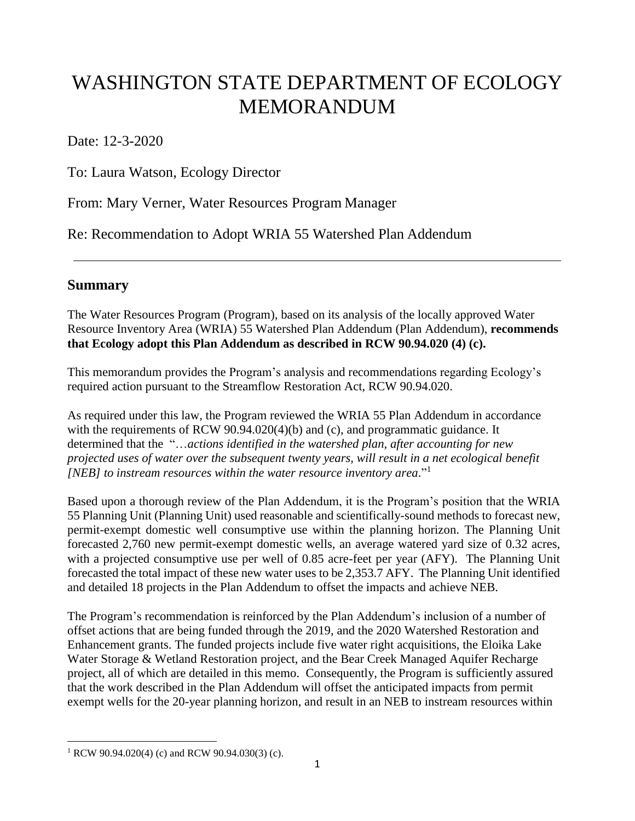# WASHINGTON STATE DEPARTMENT OF ECOLOGY MEMORANDUM

Date: 12-3-2020

To: Laura Watson, Ecology Director

From: Mary Verner, Water Resources Program Manager

Re: Recommendation to Adopt WRIA 55 Watershed Plan Addendum

# **Summary**

The Water Resources Program (Program), based on its analysis of the locally approved Water Resource Inventory Area (WRIA) 55 Watershed Plan Addendum (Plan Addendum), **recommends that Ecology adopt this Plan Addendum as described in RCW 90.94.020 (4) (c).**

This memorandum provides the Program's analysis and recommendations regarding Ecology's required action pursuant to the Streamflow Restoration Act, RCW 90.94.020.

As required under this law, the Program reviewed the WRIA 55 Plan Addendum in accordance with the requirements of RCW 90.94.020(4)(b) and (c), and programmatic guidance. It determined that the "…*actions identified in the watershed plan, after accounting for new projected uses of water over the subsequent twenty years, will result in a net ecological benefit [NEB] to instream resources within the water resource inventory area*." 1

Based upon a thorough review of the Plan Addendum, it is the Program's position that the WRIA 55 Planning Unit (Planning Unit) used reasonable and scientifically-sound methods to forecast new, permit-exempt domestic well consumptive use within the planning horizon. The Planning Unit forecasted 2,760 new permit-exempt domestic wells, an average watered yard size of 0.32 acres, with a projected consumptive use per well of 0.85 acre-feet per year (AFY). The Planning Unit forecasted the total impact of these new water uses to be 2,353.7 AFY. The Planning Unit identified and detailed 18 projects in the Plan Addendum to offset the impacts and achieve NEB.

The Program's recommendation is reinforced by the Plan Addendum's inclusion of a number of offset actions that are being funded through the 2019, and the 2020 Watershed Restoration and Enhancement grants. The funded projects include five water right acquisitions, the Eloika Lake Water Storage & Wetland Restoration project, and the Bear Creek Managed Aquifer Recharge project, all of which are detailed in this memo. Consequently, the Program is sufficiently assured that the work described in the Plan Addendum will offset the anticipated impacts from permit exempt wells for the 20-year planning horizon, and result in an NEB to instream resources within

 $\overline{\phantom{a}}$ <sup>1</sup> RCW 90.94.020(4) (c) and RCW 90.94.030(3) (c).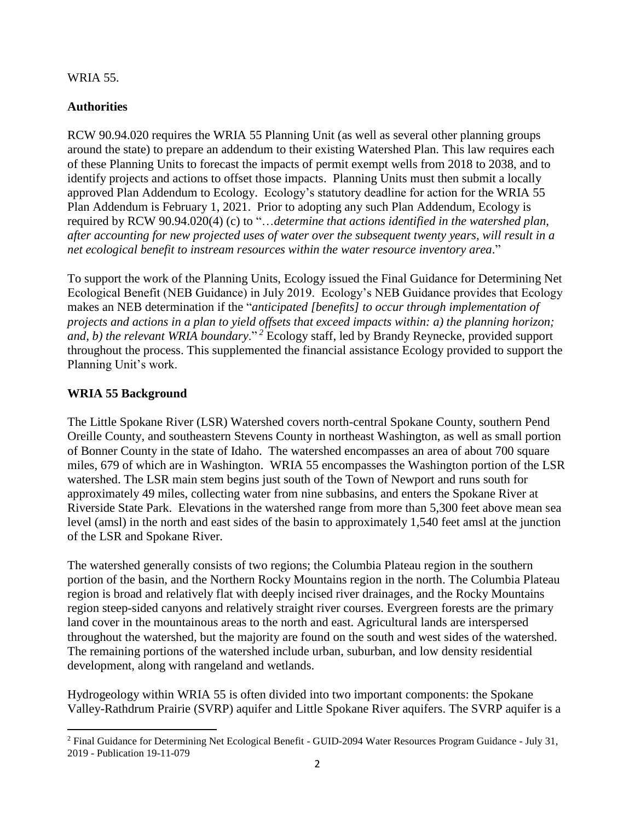#### WRIA 55.

### **Authorities**

RCW 90.94.020 requires the WRIA 55 Planning Unit (as well as several other planning groups around the state) to prepare an addendum to their existing Watershed Plan. This law requires each of these Planning Units to forecast the impacts of permit exempt wells from 2018 to 2038, and to identify projects and actions to offset those impacts. Planning Units must then submit a locally approved Plan Addendum to Ecology. Ecology's statutory deadline for action for the WRIA 55 Plan Addendum is February 1, 2021. Prior to adopting any such Plan Addendum, Ecology is required by RCW 90.94.020(4) (c) to "…*determine that actions identified in the watershed plan, after accounting for new projected uses of water over the subsequent twenty years, will result in a net ecological benefit to instream resources within the water resource inventory area*."

To support the work of the Planning Units, Ecology issued the Final Guidance for Determining Net Ecological Benefit (NEB Guidance) in July 2019. Ecology's NEB Guidance provides that Ecology makes an NEB determination if the "*anticipated [benefits] to occur through implementation of projects and actions in a plan to yield offsets that exceed impacts within: a) the planning horizon; and, b) the relevant WRIA boundary.*"<sup>2</sup> Ecology staff, led by Brandy Reynecke, provided support throughout the process. This supplemented the financial assistance Ecology provided to support the Planning Unit's work.

## **WRIA 55 Background**

l

The Little Spokane River (LSR) Watershed covers north-central Spokane County, southern Pend Oreille County, and southeastern Stevens County in northeast Washington, as well as small portion of Bonner County in the state of Idaho. The watershed encompasses an area of about 700 square miles, 679 of which are in Washington. WRIA 55 encompasses the Washington portion of the LSR watershed. The LSR main stem begins just south of the Town of Newport and runs south for approximately 49 miles, collecting water from nine subbasins, and enters the Spokane River at Riverside State Park. Elevations in the watershed range from more than 5,300 feet above mean sea level (amsl) in the north and east sides of the basin to approximately 1,540 feet amsl at the junction of the LSR and Spokane River.

The watershed generally consists of two regions; the Columbia Plateau region in the southern portion of the basin, and the Northern Rocky Mountains region in the north. The Columbia Plateau region is broad and relatively flat with deeply incised river drainages, and the Rocky Mountains region steep-sided canyons and relatively straight river courses. Evergreen forests are the primary land cover in the mountainous areas to the north and east. Agricultural lands are interspersed throughout the watershed, but the majority are found on the south and west sides of the watershed. The remaining portions of the watershed include urban, suburban, and low density residential development, along with rangeland and wetlands.

Hydrogeology within WRIA 55 is often divided into two important components: the Spokane Valley-Rathdrum Prairie (SVRP) aquifer and Little Spokane River aquifers. The SVRP aquifer is a

<sup>&</sup>lt;sup>2</sup> Final Guidance for Determining Net Ecological Benefit - GUID-2094 Water Resources Program Guidance - July 31, 2019 - Publication 19-11-079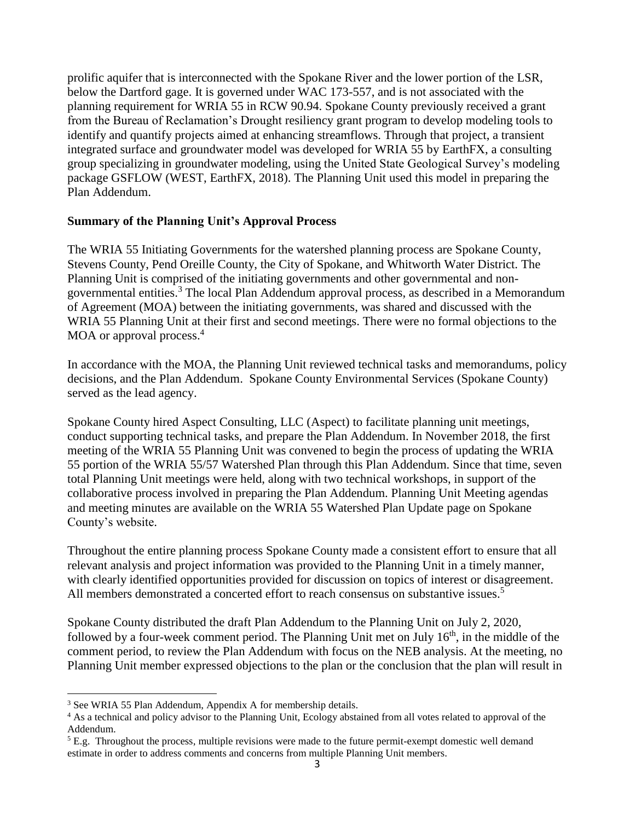prolific aquifer that is interconnected with the Spokane River and the lower portion of the LSR, below the Dartford gage. It is governed under WAC 173-557, and is not associated with the planning requirement for WRIA 55 in RCW 90.94. Spokane County previously received a grant from the Bureau of Reclamation's Drought resiliency grant program to develop modeling tools to identify and quantify projects aimed at enhancing streamflows. Through that project, a transient integrated surface and groundwater model was developed for WRIA 55 by EarthFX, a consulting group specializing in groundwater modeling, using the United State Geological Survey's modeling package GSFLOW (WEST, EarthFX, 2018). The Planning Unit used this model in preparing the Plan Addendum.

#### **Summary of the Planning Unit's Approval Process**

The WRIA 55 Initiating Governments for the watershed planning process are Spokane County, Stevens County, Pend Oreille County, the City of Spokane, and Whitworth Water District. The Planning Unit is comprised of the initiating governments and other governmental and nongovernmental entities.<sup>3</sup> The local Plan Addendum approval process, as described in a Memorandum of Agreement (MOA) between the initiating governments, was shared and discussed with the WRIA 55 Planning Unit at their first and second meetings. There were no formal objections to the MOA or approval process.<sup>4</sup>

In accordance with the MOA, the Planning Unit reviewed technical tasks and memorandums, policy decisions, and the Plan Addendum. Spokane County Environmental Services (Spokane County) served as the lead agency.

Spokane County hired Aspect Consulting, LLC (Aspect) to facilitate planning unit meetings, conduct supporting technical tasks, and prepare the Plan Addendum. In November 2018, the first meeting of the WRIA 55 Planning Unit was convened to begin the process of updating the WRIA 55 portion of the WRIA 55/57 Watershed Plan through this Plan Addendum. Since that time, seven total Planning Unit meetings were held, along with two technical workshops, in support of the collaborative process involved in preparing the Plan Addendum. Planning Unit Meeting agendas and meeting minutes are available on the WRIA 55 Watershed Plan Update page on Spokane County's website.

Throughout the entire planning process Spokane County made a consistent effort to ensure that all relevant analysis and project information was provided to the Planning Unit in a timely manner, with clearly identified opportunities provided for discussion on topics of interest or disagreement. All members demonstrated a concerted effort to reach consensus on substantive issues.<sup>5</sup>

Spokane County distributed the draft Plan Addendum to the Planning Unit on July 2, 2020, followed by a four-week comment period. The Planning Unit met on July 16<sup>th</sup>, in the middle of the comment period, to review the Plan Addendum with focus on the NEB analysis. At the meeting, no Planning Unit member expressed objections to the plan or the conclusion that the plan will result in

 $\overline{\phantom{a}}$ 

<sup>&</sup>lt;sup>3</sup> See WRIA 55 Plan Addendum, Appendix A for membership details.

<sup>&</sup>lt;sup>4</sup> As a technical and policy advisor to the Planning Unit, Ecology abstained from all votes related to approval of the Addendum.

 $5$  E.g. Throughout the process, multiple revisions were made to the future permit-exempt domestic well demand estimate in order to address comments and concerns from multiple Planning Unit members.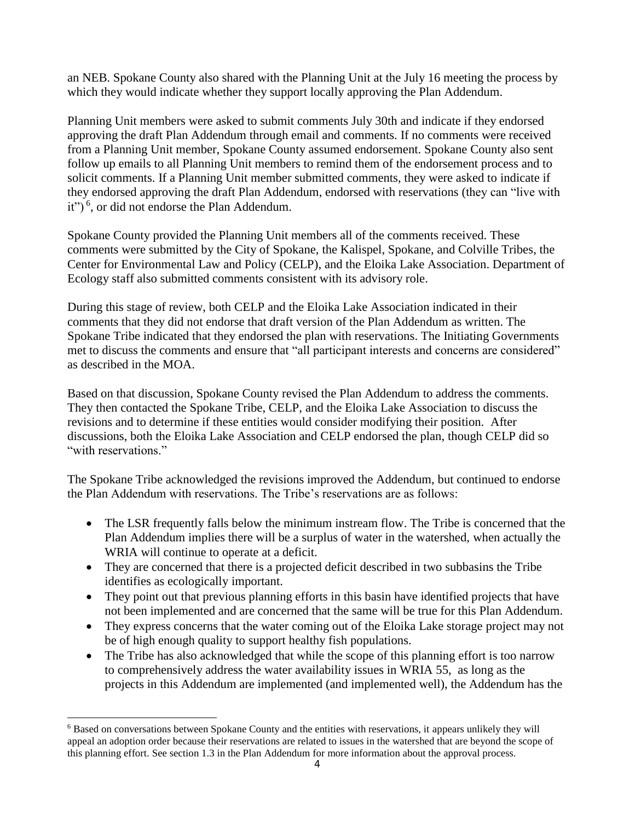an NEB. Spokane County also shared with the Planning Unit at the July 16 meeting the process by which they would indicate whether they support locally approving the Plan Addendum.

Planning Unit members were asked to submit comments July 30th and indicate if they endorsed approving the draft Plan Addendum through email and comments. If no comments were received from a Planning Unit member, Spokane County assumed endorsement. Spokane County also sent follow up emails to all Planning Unit members to remind them of the endorsement process and to solicit comments. If a Planning Unit member submitted comments, they were asked to indicate if they endorsed approving the draft Plan Addendum, endorsed with reservations (they can "live with it")<sup>6</sup>, or did not endorse the Plan Addendum.

Spokane County provided the Planning Unit members all of the comments received. These comments were submitted by the City of Spokane, the Kalispel, Spokane, and Colville Tribes, the Center for Environmental Law and Policy (CELP), and the Eloika Lake Association. Department of Ecology staff also submitted comments consistent with its advisory role.

During this stage of review, both CELP and the Eloika Lake Association indicated in their comments that they did not endorse that draft version of the Plan Addendum as written. The Spokane Tribe indicated that they endorsed the plan with reservations. The Initiating Governments met to discuss the comments and ensure that "all participant interests and concerns are considered" as described in the MOA.

Based on that discussion, Spokane County revised the Plan Addendum to address the comments. They then contacted the Spokane Tribe, CELP, and the Eloika Lake Association to discuss the revisions and to determine if these entities would consider modifying their position. After discussions, both the Eloika Lake Association and CELP endorsed the plan, though CELP did so "with reservations."

The Spokane Tribe acknowledged the revisions improved the Addendum, but continued to endorse the Plan Addendum with reservations. The Tribe's reservations are as follows:

- The LSR frequently falls below the minimum instream flow. The Tribe is concerned that the Plan Addendum implies there will be a surplus of water in the watershed, when actually the WRIA will continue to operate at a deficit.
- They are concerned that there is a projected deficit described in two subbasins the Tribe identifies as ecologically important.
- They point out that previous planning efforts in this basin have identified projects that have not been implemented and are concerned that the same will be true for this Plan Addendum.
- They express concerns that the water coming out of the Eloika Lake storage project may not be of high enough quality to support healthy fish populations.
- The Tribe has also acknowledged that while the scope of this planning effort is too narrow to comprehensively address the water availability issues in WRIA 55, as long as the projects in this Addendum are implemented (and implemented well), the Addendum has the

l

<sup>6</sup> Based on conversations between Spokane County and the entities with reservations, it appears unlikely they will appeal an adoption order because their reservations are related to issues in the watershed that are beyond the scope of this planning effort. See section 1.3 in the Plan Addendum for more information about the approval process.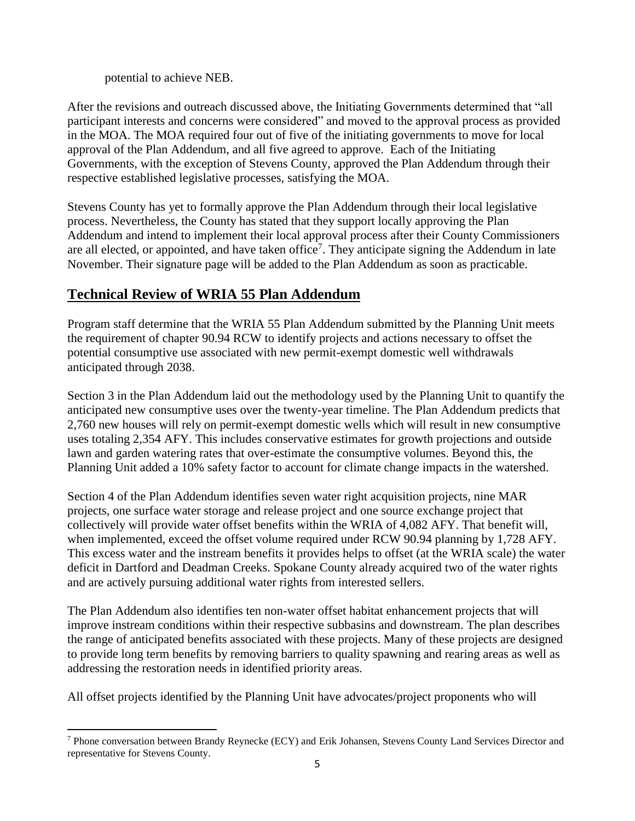potential to achieve NEB.

l

After the revisions and outreach discussed above, the Initiating Governments determined that "all participant interests and concerns were considered" and moved to the approval process as provided in the MOA. The MOA required four out of five of the initiating governments to move for local approval of the Plan Addendum, and all five agreed to approve. Each of the Initiating Governments, with the exception of Stevens County, approved the Plan Addendum through their respective established legislative processes, satisfying the MOA.

Stevens County has yet to formally approve the Plan Addendum through their local legislative process. Nevertheless, the County has stated that they support locally approving the Plan Addendum and intend to implement their local approval process after their County Commissioners are all elected, or appointed, and have taken office<sup>7</sup>. They anticipate signing the Addendum in late November. Their signature page will be added to the Plan Addendum as soon as practicable.

## **Technical Review of WRIA 55 Plan Addendum**

Program staff determine that the WRIA 55 Plan Addendum submitted by the Planning Unit meets the requirement of chapter 90.94 RCW to identify projects and actions necessary to offset the potential consumptive use associated with new permit-exempt domestic well withdrawals anticipated through 2038.

Section 3 in the Plan Addendum laid out the methodology used by the Planning Unit to quantify the anticipated new consumptive uses over the twenty-year timeline. The Plan Addendum predicts that 2,760 new houses will rely on permit-exempt domestic wells which will result in new consumptive uses totaling 2,354 AFY. This includes conservative estimates for growth projections and outside lawn and garden watering rates that over-estimate the consumptive volumes. Beyond this, the Planning Unit added a 10% safety factor to account for climate change impacts in the watershed.

Section 4 of the Plan Addendum identifies seven water right acquisition projects, nine MAR projects, one surface water storage and release project and one source exchange project that collectively will provide water offset benefits within the WRIA of 4,082 AFY. That benefit will, when implemented, exceed the offset volume required under RCW 90.94 planning by 1,728 AFY. This excess water and the instream benefits it provides helps to offset (at the WRIA scale) the water deficit in Dartford and Deadman Creeks. Spokane County already acquired two of the water rights and are actively pursuing additional water rights from interested sellers.

The Plan Addendum also identifies ten non-water offset habitat enhancement projects that will improve instream conditions within their respective subbasins and downstream. The plan describes the range of anticipated benefits associated with these projects. Many of these projects are designed to provide long term benefits by removing barriers to quality spawning and rearing areas as well as addressing the restoration needs in identified priority areas.

All offset projects identified by the Planning Unit have advocates/project proponents who will

<sup>7</sup> Phone conversation between Brandy Reynecke (ECY) and Erik Johansen, Stevens County Land Services Director and representative for Stevens County.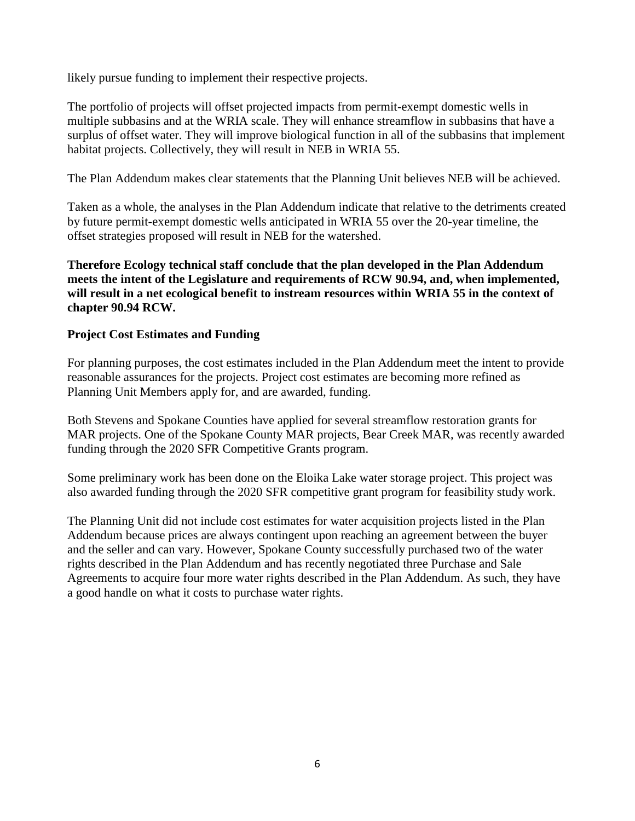likely pursue funding to implement their respective projects.

The portfolio of projects will offset projected impacts from permit-exempt domestic wells in multiple subbasins and at the WRIA scale. They will enhance streamflow in subbasins that have a surplus of offset water. They will improve biological function in all of the subbasins that implement habitat projects. Collectively, they will result in NEB in WRIA 55.

The Plan Addendum makes clear statements that the Planning Unit believes NEB will be achieved.

Taken as a whole, the analyses in the Plan Addendum indicate that relative to the detriments created by future permit-exempt domestic wells anticipated in WRIA 55 over the 20-year timeline, the offset strategies proposed will result in NEB for the watershed.

**Therefore Ecology technical staff conclude that the plan developed in the Plan Addendum meets the intent of the Legislature and requirements of RCW 90.94, and, when implemented, will result in a net ecological benefit to instream resources within WRIA 55 in the context of chapter 90.94 RCW.**

#### **Project Cost Estimates and Funding**

For planning purposes, the cost estimates included in the Plan Addendum meet the intent to provide reasonable assurances for the projects. Project cost estimates are becoming more refined as Planning Unit Members apply for, and are awarded, funding.

Both Stevens and Spokane Counties have applied for several streamflow restoration grants for MAR projects. One of the Spokane County MAR projects, Bear Creek MAR, was recently awarded funding through the 2020 SFR Competitive Grants program.

Some preliminary work has been done on the Eloika Lake water storage project. This project was also awarded funding through the 2020 SFR competitive grant program for feasibility study work.

The Planning Unit did not include cost estimates for water acquisition projects listed in the Plan Addendum because prices are always contingent upon reaching an agreement between the buyer and the seller and can vary. However, Spokane County successfully purchased two of the water rights described in the Plan Addendum and has recently negotiated three Purchase and Sale Agreements to acquire four more water rights described in the Plan Addendum. As such, they have a good handle on what it costs to purchase water rights.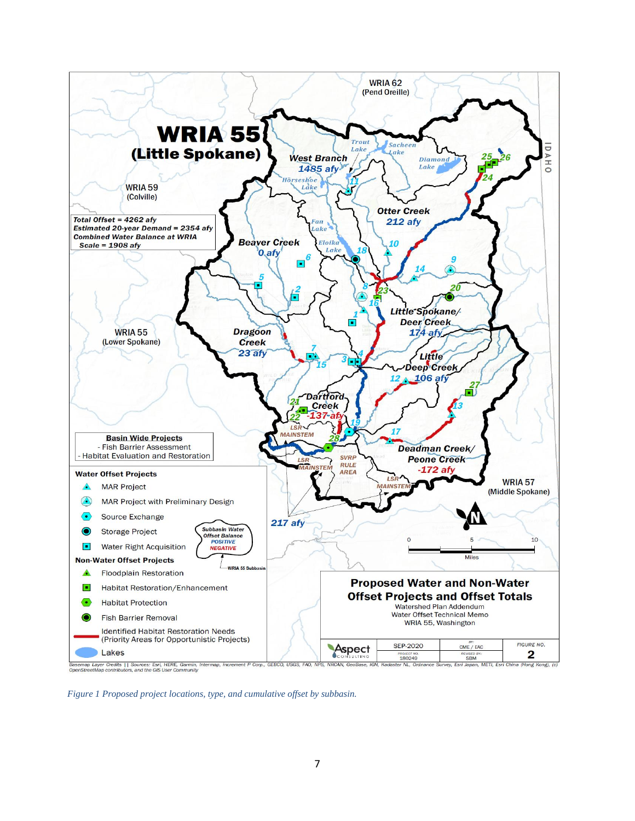

*Figure 1 Proposed project locations, type, and cumulative offset by subbasin.*